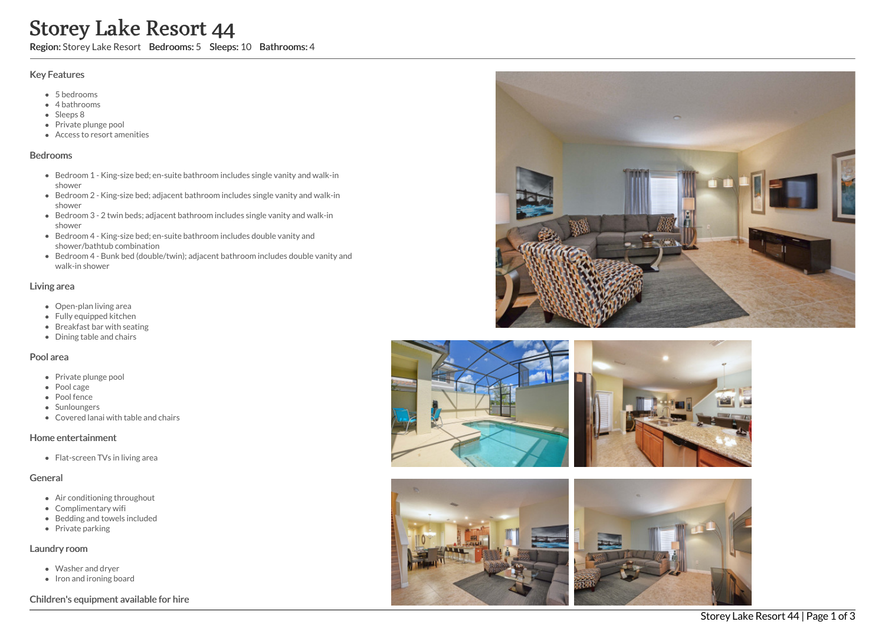# Storey Lake Resort 44

Region: Storey Lake Resort Bedrooms: 5 Sleeps: 10 Bathrooms: 4

#### Key Features

- 5 b e d r o o m s
- 4 bathrooms
- Sleeps 8
- Private plunge pool
- Access to resort amenities

#### **Bedrooms**

- Bedroom 1 King-size bed; en-suite bathroom includes single vanity and walk-in s h o w e r
- Bedroom 2 King-size bed; adjacent bathroom includes single vanity and walk-in s h o w e r
- Bedroom 3 2 twin beds; adjacent bathroom includes single vanity and walk-in s h o w e r
- Bedroom 4 King-size bed; en-suite bathroom includes double vanity and shower/bathtub combination
- Bedroom 4 Bunk bed (double/twin); adjacent bathroom includes double vanity and walk-in shower

#### Living area

- Open-plan living area
- Fully equipped kitchen
- Breakfast bar with seating
- Dining table and chairs

#### Pool area

- Private plunge pool
- Pool cage
- Pool fence
- Sunloungers
- Covered lanai with table and chairs

#### Home entertainment

Flat-screen TVs in living area

#### General

- Air conditioning throughout
- Complimentary wifi
- Bedding and towels in clu d e d
- Private parking

#### Laundry room

- Washer and dryer
- Iron and ironing board

### Children's equipment available for hire





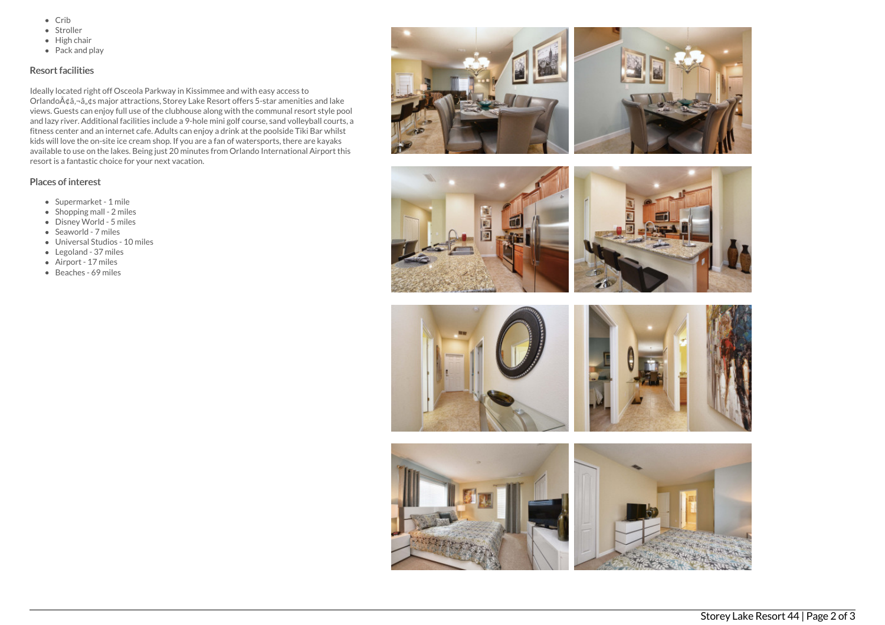- $\bullet$  Crib
- Stroller
- $\bullet$  High chair
- Pack and play

## Resort facilities

Ideally located right off Osceola Parkway in Kissimmee and with easy access to Orlando $\tilde{A}$ ¢â,¬â"¢s major attractions, Storey Lake Resort offers 5-star amenities and lake views. Guests can enjoy full use of the clubhouse along with the communal resort style pool and lazy river. Additional facilities include a 9-hole mini golf course, sand volleyball courts, a fitness center and an internet cafe. Adults can enjoy a drink at the poolside Tiki Bar whilst kids will love the on-site ice cream shop. If you are a fan of watersports, there are kayaks available to use on the lakes. Being just 20 minutes from Orlando International Airport this resort is a fantastic choice for your next vacation.

## Places of interest

- Supermarket 1 mile
- $\bullet$  Shopping mall 2 miles
- Disney World 5 miles
- Seaworld 7 miles
- Universal Studios 10 miles
- Legoland 37 miles
- Airport 17 miles
- Beaches 69 miles